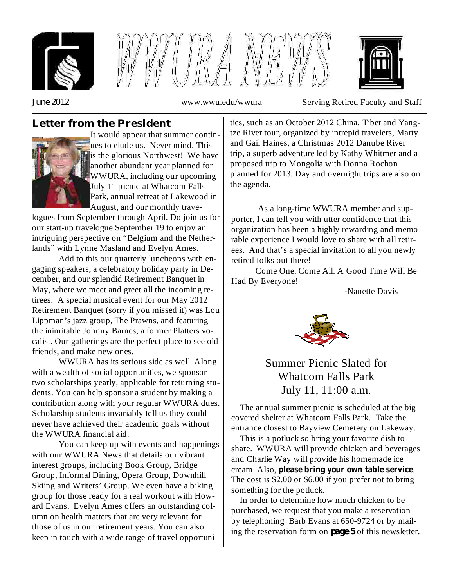





*June 2012* www.wwu.edu/wwura Serving Retired Faculty and Staff

## **Letter from the President**



It would appear that summer continues to elude us. Never mind. This is the glorious Northwest! We have another abundant year planned for WWURA, including our upcoming July 11 picnic at Whatcom Falls Park, annual retreat at Lakewood in August, and our monthly trave-

logues from September through April. Do join us for our start-up travelogue September 19 to enjoy an intriguing perspective on "Belgium and the Netherlands" with Lynne Masland and Evelyn Ames.

Add to this our quarterly luncheons with engaging speakers, a celebratory holiday party in December, and our splendid Retirement Banquet in May, where we meet and greet all the incoming retirees. A special musical event for our May 2012 Retirement Banquet (sorry if you missed it) was Lou Lippman's jazz group, The Prawns, and featuring the inimitable Johnny Barnes, a former Platters vocalist. Our gatherings are the perfect place to see old friends, and make new ones.

WWURA has its serious side as well. Along with a wealth of social opportunities, we sponsor two scholarships yearly, applicable for returning students. You can help sponsor a student by making a contribution along with your regular WWURA dues. Scholarship students invariably tell us they could never have achieved their academic goals without the WWURA financial aid.

You can keep up with events and happenings with our WWURA News that details our vibrant interest groups, including Book Group, Bridge Group, Informal Dining, Opera Group, Downhill Skiing and Writers' Group. We even have a biking group for those ready for a real workout with Howard Evans. Evelyn Ames offers an outstanding column on health matters that are very relevant for those of us in our retirement years. You can also keep in touch with a wide range of travel opportunities, such as an October 2012 China, Tibet and Yangtze River tour, organized by intrepid travelers, Marty and Gail Haines, a Christmas 2012 Danube River trip, a superb adventure led by Kathy Whitmer and a proposed trip to Mongolia with Donna Rochon planned for 2013. Day and overnight trips are also on the agenda.

As a long-time WWURA member and supporter, I can tell you with utter confidence that this organization has been a highly rewarding and memorable experience I would love to share with all retirees. And that's a special invitation to all you newly retired folks out there!

Come One. Come All. A Good Time Will Be Had By Everyone!

-Nanette Davis



## Summer Picnic Slated for Whatcom Falls Park July 11, 11:00 a.m.

The annual summer picnic is scheduled at the big covered shelter at Whatcom Falls Park. Take the entrance closest to Bayview Cemetery on Lakeway.

This is a potluck so bring your favorite dish to share. WWURA will provide chicken and beverages and Charlie Way will provide his homemade ice cream. Also, please bring your own table service. The cost is \$2.00 or \$6.00 if you prefer not to bring something for the potluck.

In order to determine how much chicken to be purchased, we request that you make a reservation by telephoning Barb Evans at 650-9724 or by mailing the reservation form on  $page 5$  of this newsletter.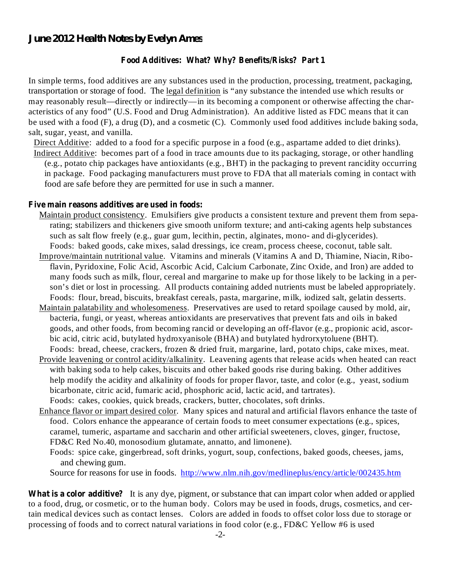#### *June 2012 Health Notes by Evelyn Ames*

#### **Food Additives: What? Why? Benefits/Risks? Part 1**

In simple terms, food additives are any substances used in the production, processing, treatment, packaging, transportation or storage of food. The legal definition is "any substance the intended use which results or may reasonably result—directly or indirectly—in its becoming a component or otherwise affecting the characteristics of any food" (U.S. Food and Drug Administration). An additive listed as FDC means that it can be used with a food (F), a drug (D), and a cosmetic (C). Commonly used food additives include baking soda, salt, sugar, yeast, and vanilla.

Direct Additive: added to a food for a specific purpose in a food (e.g., aspartame added to diet drinks). Indirect Additive: becomes part of a food in trace amounts due to its packaging, storage, or other handling

(e.g., potato chip packages have antioxidants (e.g., BHT) in the packaging to prevent rancidity occurring in package. Food packaging manufacturers must prove to FDA that all materials coming in contact with food are safe before they are permitted for use in such a manner.

#### **Five main reasons additives are used in foods:**

- Maintain product consistency. Emulsifiers give products a consistent texture and prevent them from separating; stabilizers and thickeners give smooth uniform texture; and anti-caking agents help substances such as salt flow freely (e.g., guar gum, lecithin, pectin, alginates, mono- and di-glycerides). Foods: baked goods, cake mixes, salad dressings, ice cream, process cheese, coconut, table salt.
- Improve/maintain nutritional value. Vitamins and minerals (Vitamins A and D, Thiamine, Niacin, Riboflavin, Pyridoxine, Folic Acid, Ascorbic Acid, Calcium Carbonate, Zinc Oxide, and Iron) are added to many foods such as milk, flour, cereal and margarine to make up for those likely to be lacking in a person's diet or lost in processing. All products containing added nutrients must be labeled appropriately. Foods: flour, bread, biscuits, breakfast cereals, pasta, margarine, milk, iodized salt, gelatin desserts.
- Maintain palatability and wholesomeness. Preservatives are used to retard spoilage caused by mold, air, bacteria, fungi, or yeast, whereas antioxidants are preservatives that prevent fats and oils in baked goods, and other foods, from becoming rancid or developing an off-flavor (e.g., propionic acid, ascorbic acid, citric acid, butylated hydroxyanisole (BHA) and butylated hydrorxytoluene (BHT). Foods: bread, cheese, crackers, frozen & dried fruit, margarine, lard, potato chips, cake mixes, meat.
- Provide leavening or control acidity/alkalinity. Leavening agents that release acids when heated can react with baking soda to help cakes, biscuits and other baked goods rise during baking. Other additives help modify the acidity and alkalinity of foods for proper flavor, taste, and color (e.g., yeast, sodium bicarbonate, citric acid, fumaric acid, phosphoric acid, lactic acid, and tartrates). Foods: cakes, cookies, quick breads, crackers, butter, chocolates, soft drinks.
- Enhance flavor or impart desired color. Many spices and natural and artificial flavors enhance the taste of food. Colors enhance the appearance of certain foods to meet consumer expectations (e.g., spices, caramel, tumeric, aspartame and saccharin and other artificial sweeteners, cloves, ginger, fructose, FD&C Red No.40, monosodium glutamate, annatto, and limonene).
	- Foods: spice cake, gingerbread, soft drinks, yogurt, soup, confections, baked goods, cheeses, jams, and chewing gum.

Source for reasons for use in foods. http://www.nlm.nih.gov/medlineplus/ency/article/002435.htm

**What is a color additive?** It is any dye, pigment, or substance that can impart color when added or applied to a food, drug, or cosmetic, or to the human body. Colors may be used in foods, drugs, cosmetics, and certain medical devices such as contact lenses. Colors are added in foods to offset color loss due to storage or processing of foods and to correct natural variations in food color (e.g., FD&C Yellow #6 is used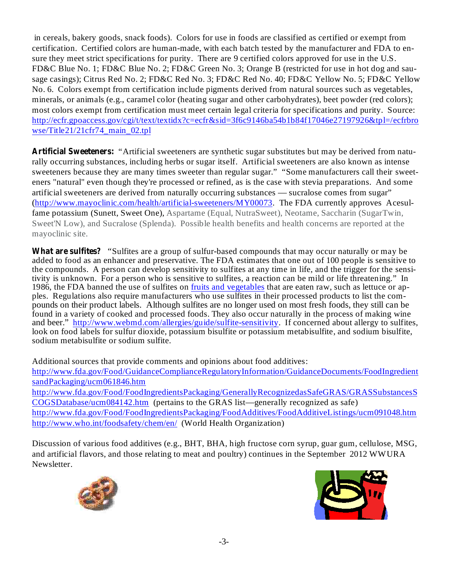in cereals, bakery goods, snack foods). Colors for use in foods are classified as certified or exempt from certification. Certified colors are human-made, with each batch tested by the manufacturer and FDA to ensure they meet strict specifications for purity. There are 9 certified colors approved for use in the U.S. FD&C Blue No. 1; FD&C Blue No. 2; FD&C Green No. 3; Orange B (restricted for use in hot dog and sausage casings); Citrus Red No. 2; FD&C Red No. 3; FD&C Red No. 40; FD&C Yellow No. 5; FD&C Yellow No. 6. Colors exempt from certification include pigments derived from natural sources such as vegetables, minerals, or animals (e.g., caramel color (heating sugar and other carbohydrates), beet powder (red colors); most colors exempt from certification must meet certain legal criteria for specifications and purity. Source: http://ecfr.gpoaccess.gov/cgi/t/text/textidx?c=ecfr&sid=3f6c9146ba54b1b84f17046e27197926&tpl=/ecfrbro wse/Title21/21cfr74\_main\_02.tpl

Artificial Sweeteners: "Artificial sweeteners are synthetic sugar substitutes but may be derived from naturally occurring substances, including herbs or sugar itself. Artificial sweeteners are also known as intense sweeteners because they are many times sweeter than regular sugar." "Some manufacturers call their sweeteners "natural" even though they're processed or refined, as is the case with stevia preparations. And some artificial sweeteners are derived from naturally occurring substances — sucralose comes from sugar" (http://www.mayoclinic.com/health/artificial-sweeteners/MY00073. The FDA currently approves Acesulfame potassium (Sunett, Sweet One), Aspartame (Equal, NutraSweet), Neotame, Saccharin (SugarTwin, Sweet'N Low), and Sucralose (Splenda). Possible health benefits and health concerns are reported at the mayoclinic site.

What are sulfites? "Sulfites are a group of sulfur-based compounds that may occur naturally or may be added to food as an enhancer and preservative. The FDA estimates that one out of 100 people is sensitive to the compounds. A person can develop sensitivity to sulfites at any time in life, and the trigger for the sensitivity is unknown. For a person who is sensitive to sulfites, a reaction can be mild or life threatening." In 1986, the FDA banned the use of sulfites on fruits and vegetables that are eaten raw, such as lettuce or apples. Regulations also require manufacturers who use sulfites in their processed products to list the compounds on their product labels. Although sulfites are no longer used on most fresh foods, they still can be found in a variety of cooked and processed foods. They also occur naturally in the process of making wine and beer." http://www.webmd.com/allergies/guide/sulfite-sensitivity. If concerned about allergy to sulfites, look on food labels for sulfur dioxide, potassium bisulfite or potassium metabisulfite, and sodium bisulfite, sodium metabisulfite or sodium sulfite.

Additional sources that provide comments and opinions about food additives:

http://www.fda.gov/Food/GuidanceComplianceRegulatoryInformation/GuidanceDocuments/FoodIngredient sandPackaging/ucm061846.htm

http://www.fda.gov/Food/FoodIngredientsPackaging/GenerallyRecognizedasSafeGRAS/GRASSubstancesS COGSDatabase/ucm084142.htm (pertains to the GRAS list—generally recognized as safe) http://www.fda.gov/Food/FoodIngredientsPackaging/FoodAdditives/FoodAdditiveListings/ucm091048.htm

http://www.who.int/foodsafety/chem/en/ (World Health Organization)

Discussion of various food additives (e.g., BHT, BHA, high fructose corn syrup, guar gum, cellulose, MSG, and artificial flavors, and those relating to meat and poultry) continues in the September 2012 WWURA Newsletter.



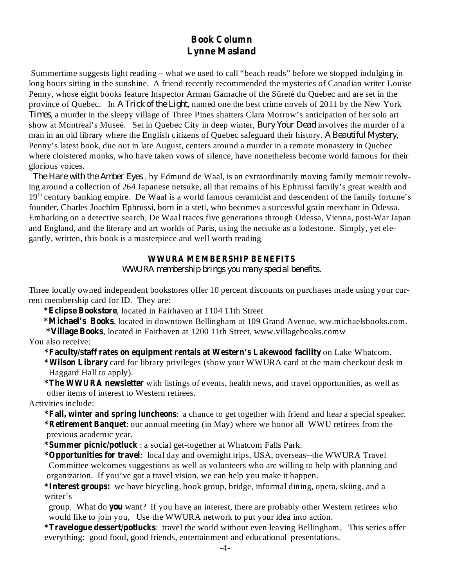## **Book Column Lynne Masland**

Summertime suggests light reading – what we used to call "beach reads" before we stopped indulging in long hours sitting in the sunshine. A friend recently recommended the mysteries of Canadian writer Louise Penny, whose eight books feature Inspector Arman Gamache of the Sûreté du Quebec and are set in the province of Quebec. In A Trick of the Light, named one the best crime novels of 2011 by the New York , a murder in the sleepy village of Three Pines shatters Clara Morrow's anticipation of her solo art *Times* show at Montreal's Museé. Set in Quebec City in deep winter, *Bury Your Dead* involves the murder of a man in an old library where the English citizens of Quebec safeguard their history. A Beautiful Mystery, Penny's latest book, due out in late August, centers around a murder in a remote monastery in Quebec where cloistered monks, who have taken vows of silence, have nonetheless become world famous for their glorious voices.

*The Hare with the Amber Eyes*, by Edmund de Waal, is an extraordinarily moving family memoir revolving around a collection of 264 Japanese netsuke, all that remains of his Ephrussi family's great wealth and 19<sup>th</sup> century banking empire. De Waal is a world famous ceramicist and descendent of the family fortune's founder, Charles Joachim Ephrussi, born in a stetl, who becomes a successful grain merchant in Odessa. Embarking on a detective search, De Waal traces five generations through Odessa, Vienna, post-War Japan and England, and the literary and art worlds of Paris, using the netsuke as a lodestone. Simply, yet elegantly, written, this book is a masterpiece and well worth reading

#### **WWURA MEMBERSHIP BENEFITS**

*WWURA membership brings you many special benefits.*

Three locally owned independent bookstores offer 10 percent discounts on purchases made using your current membership card for ID. They are:

**\*Eclipse Bookstore** , located in Fairhaven at 1104 11th Street

**\*Michael's Books** , located in downtown Bellingham at 109 Grand Avenue, ww.michaelsbooks.com. **\*Village Books** , located in Fairhaven at 1200 11th Street, www.villagebooks.comw

You also receive:

**\*Faculty/staff rates on equipment rentals at Western's Lakewood facility** on Lake Whatcom.

**\*Wilson Library** card for library privileges (show your WWURA card at the main checkout desk in Haggard Hall to apply).

**\*The WWURA newsletter** with listings of events, health news, and travel opportunities, as well as other items of interest to Western retirees.

Activities include:

**\*Fall, winter and spring luncheons** : a chance to get together with friend and hear a special speaker. **\*Retirement Banquet** : our annual meeting (in May) where we honor all WWU retirees from the previous academic year.

**\*Summer picnic/potluck** : a social get-together at Whatcom Falls Park.

**\*Opportunities for travel** : local day and overnight trips, USA, overseas--the WWURA Travel Committee welcomes suggestions as well as volunteers who are willing to help with planning and organization. If you've got a travel vision, we can help you make it happen.

**\*Interest groups:** we have bicycling, book group, bridge, informal dining, opera, skiing, and a writer's

group. What do you want? If you have an interest, there are probably other Western retirees who would like to join you, Use the WWURA network to put your idea into action.

**\*Travelogue dessert/potlucks** : travel the world without even leaving Bellingham. This series offer everything: good food, good friends, entertainment and educational presentations.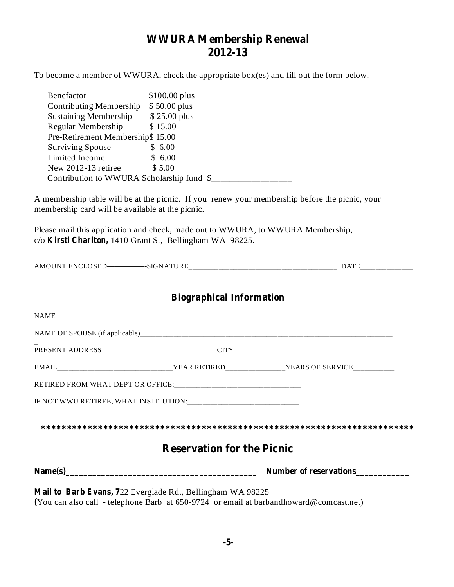# **WWURA Membership Renewal 2012-13**

To become a member of WWURA, check the appropriate box(es) and fill out the form below.

| Benefactor                                                                                                                                  | $$100.00$ plus                            |                                                                                                |
|---------------------------------------------------------------------------------------------------------------------------------------------|-------------------------------------------|------------------------------------------------------------------------------------------------|
| Contributing Membership \$50.00 plus<br><b>Sustaining Membership</b>                                                                        | \$25.00 plus                              |                                                                                                |
| Regular Membership                                                                                                                          | \$15.00                                   |                                                                                                |
| Pre-Retirement Membership\$ 15.00                                                                                                           |                                           |                                                                                                |
| Surviving Spouse \$ 6.00<br>Limited Income \$6.00                                                                                           |                                           |                                                                                                |
| New $2012-13$ retiree                                                                                                                       | \$5.00                                    |                                                                                                |
|                                                                                                                                             | Contribution to WWURA Scholarship fund \$ |                                                                                                |
| membership card will be available at the picnic.                                                                                            |                                           | A membership table will be at the picnic. If you renew your membership before the picnic, your |
| Please mail this application and check, made out to WWURA, to WWURA Membership,<br>c/o Kirsti Charlton, 1410 Grant St, Bellingham WA 98225. |                                           |                                                                                                |
|                                                                                                                                             |                                           |                                                                                                |
|                                                                                                                                             | <b>Biographical Information</b>           |                                                                                                |
|                                                                                                                                             |                                           |                                                                                                |
|                                                                                                                                             |                                           |                                                                                                |
|                                                                                                                                             |                                           |                                                                                                |
|                                                                                                                                             |                                           | EMAIL_______________________________YEAR RETIRED________________YEARS OF SERVICE________       |
|                                                                                                                                             |                                           |                                                                                                |
|                                                                                                                                             |                                           |                                                                                                |
|                                                                                                                                             |                                           |                                                                                                |
|                                                                                                                                             | <b>Reservation for the Picnic</b>         |                                                                                                |
|                                                                                                                                             |                                           | Number of reservations                                                                         |
| Mail to Barb Evans, 722 Everglade Rd., Bellingham WA 98225                                                                                  |                                           | (You can also call - telephone Barb at 650-9724 or email at barbandhoward@comcast.net)         |